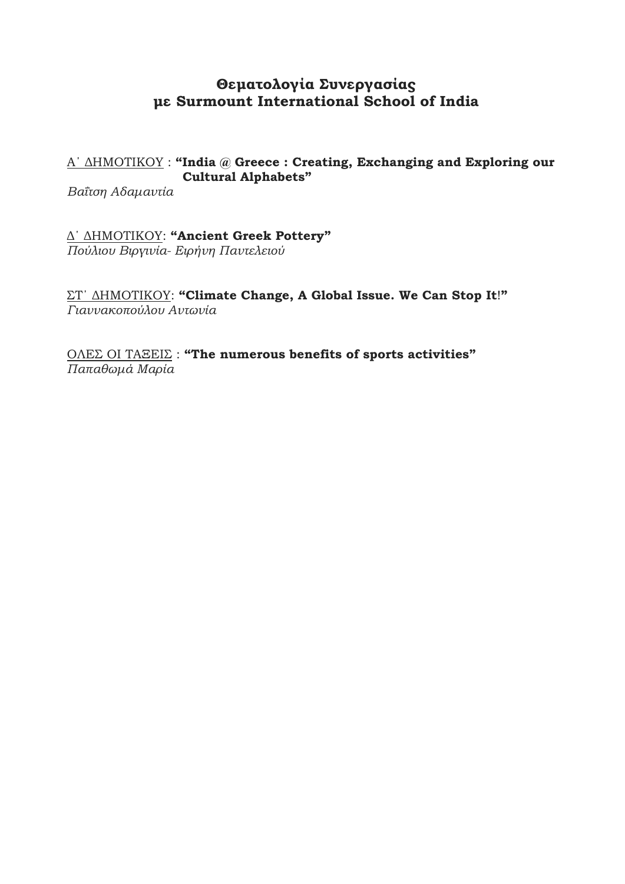# **Θεματολογία Συνεργασίας με Surmount International School of India**

# Α΄ ΔΗΜΟΤΙΚΟΥ : **"India @ Greece : Creating, Exchanging and Exploring our Cultural Alphabets"**

*Βαΐτση Αδαμαντία*

Δ΄ ΔΗΜΟΤΙΚΟΥ: **"Ancient Greek Pottery"** *Πούλιου Βιργινία- Ειρήνη Παντελειού*

ΣΤ΄ ΔΗΜΟΤΙΚΟΥ: **"Climate Change, Α Global Issue. We Can Stop It**!**"** *Γιαννακοπούλου Αντωνία*

ΟΛΕΣ ΟΙ ΤΑΞΕΙΣ : **"The numerous benefits of sports activities"** *Παπαθωμά Μαρία*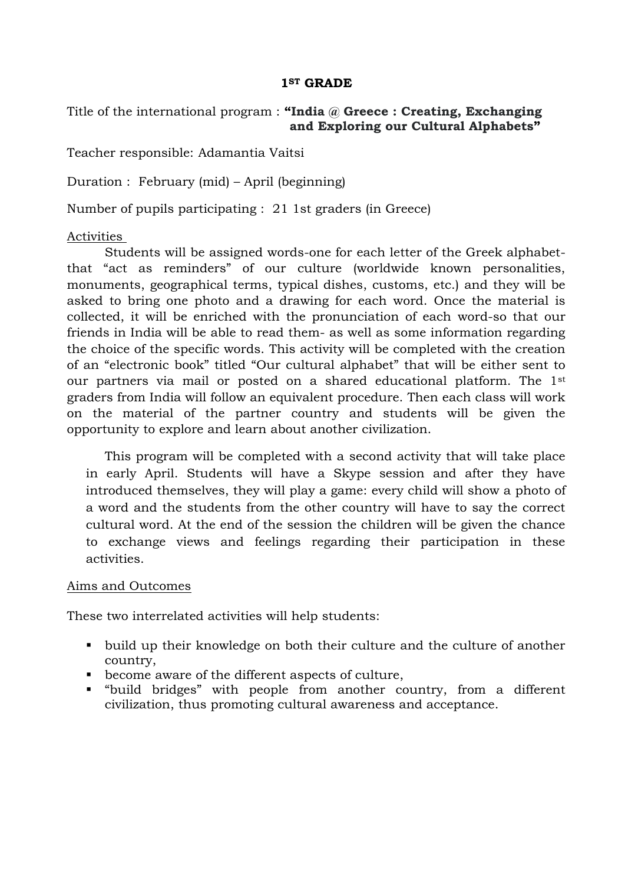#### **1ST GRADE**

Title of the international program : **"India @ Greece : Creating, Exchanging and Exploring our Cultural Alphabets"**

Teacher responsible: Adamantia Vaitsi

Duration : February (mid) – April (beginning)

Number of pupils participating : 21 1st graders (in Greece)

#### Activities

Students will be assigned words-one for each letter of the Greek alphabetthat "act as reminders" of our culture (worldwide known personalities, monuments, geographical terms, typical dishes, customs, etc.) and they will be asked to bring one photo and a drawing for each word. Once the material is collected, it will be enriched with the pronunciation of each word-so that our friends in India will be able to read them- as well as some information regarding the choice of the specific words. This activity will be completed with the creation of an "electronic book" titled "Our cultural alphabet" that will be either sent to our partners via mail or posted on a shared educational platform. The 1st graders from India will follow an equivalent procedure. Then each class will work on the material of the partner country and students will be given the opportunity to explore and learn about another civilization.

This program will be completed with a second activity that will take place in early April. Students will have a Skype session and after they have introduced themselves, they will play a game: every child will show a photo of a word and the students from the other country will have to say the correct cultural word. At the end of the session the children will be given the chance to exchange views and feelings regarding their participation in these activities.

#### Aims and Outcomes

These two interrelated activities will help students:

- build up their knowledge on both their culture and the culture of another country,
- become aware of the different aspects of culture,
- "build bridges" with people from another country, from a different civilization, thus promoting cultural awareness and acceptance.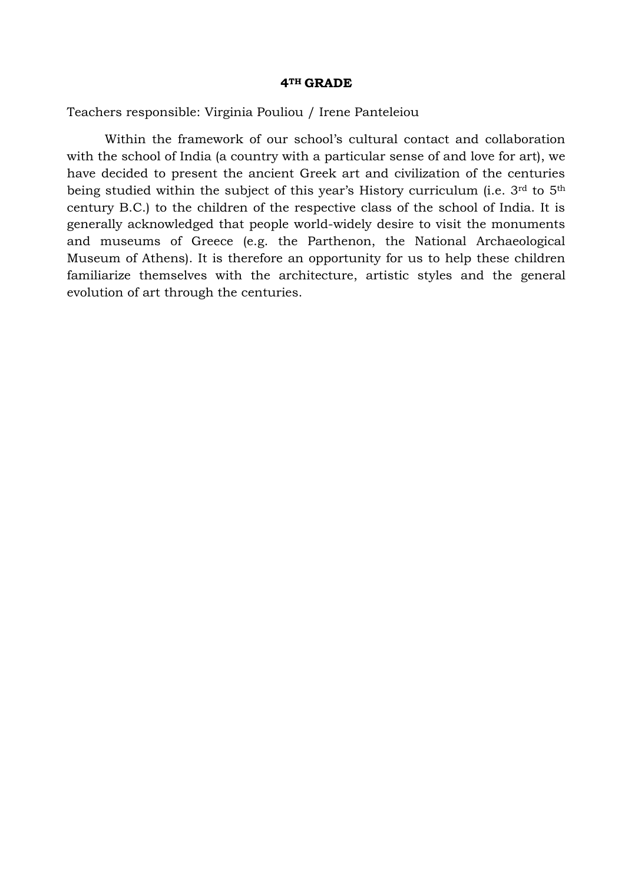#### **4TH GRADE**

Teachers responsible: Virginia Pouliou / Irene Panteleiou

Within the framework of our school's cultural contact and collaboration with the school of India (a country with a particular sense of and love for art), we have decided to present the ancient Greek art and civilization of the centuries being studied within the subject of this year's History curriculum (i.e. 3<sup>rd</sup> to 5<sup>th</sup> century B.C.) to the children of the respective class of the school of India. It is generally acknowledged that people world-widely desire to visit the monuments and museums of Greece (e.g. the Parthenon, the National Archaeological Museum of Athens). It is therefore an opportunity for us to help these children familiarize themselves with the architecture, artistic styles and the general evolution of art through the centuries.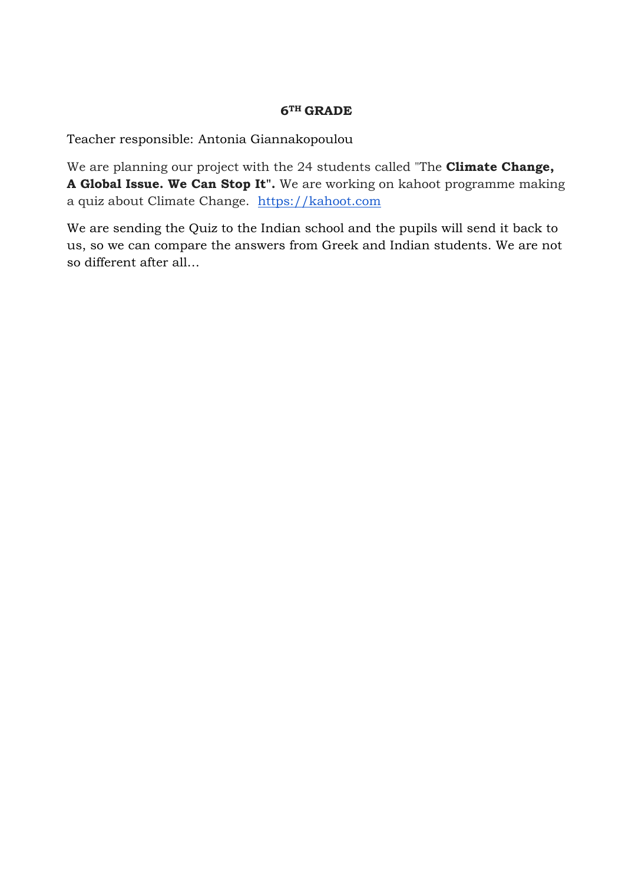### **6TH GRADE**

Teacher responsible: Antonia Giannakopoulou

We are planning our project with the 24 students called "The **Climate Change, Α Global Issue. We Can Stop It".** We are working on kahoot programme making a quiz about Climate Change. [https://kahoot.com](https://kahoot.com/)

We are sending the Quiz to the Indian school and the pupils will send it back to us, so we can compare the answers from Greek and Indian students. We are not so different after all…